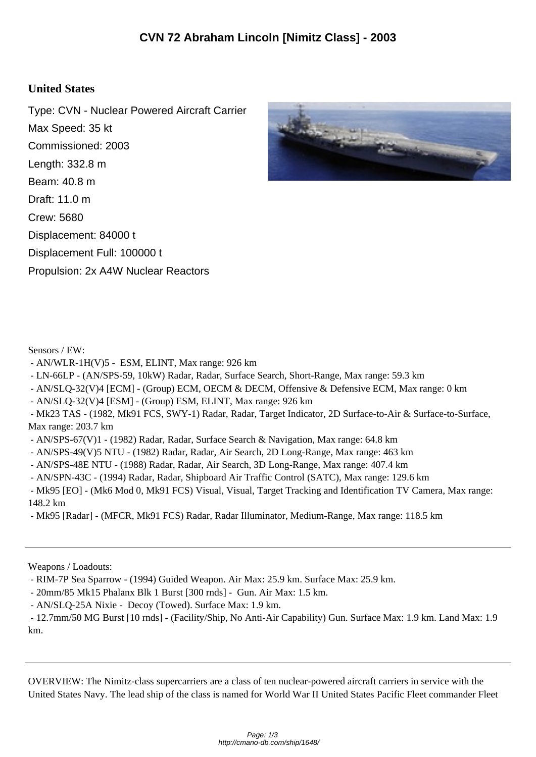## **United States**

Type: CVN - Nuclear Powered Aircraft Carrier Max Speed: 35 kt Commissioned: 2003 Length: 332.8 m Beam: 40.8 m Draft: 11.0 m Crew: 5680 Displacement: 84000 t Displacement Full: 100000 t Propulsion: 2x A4W Nuclear Reactors



Sensors / EW:

- AN/WLR-1H(V)5 ESM, ELINT, Max range: 926 km
- LN-66LP (AN/SPS-59, 10kW) Radar, Radar, Surface Search, Short-Range, Max range: 59.3 km
- AN/SLQ-32(V)4 [ECM] (Group) ECM, OECM & DECM, Offensive & Defensive ECM, Max range: 0 km
- AN/SLQ-32(V)4 [ESM] (Group) ESM, ELINT, Max range: 926 km
- Mk23 TAS (1982, Mk91 FCS, SWY-1) Radar, Radar, Target Indicator, 2D Surface-to-Air & Surface-to-Surface, Max range: 203.7 km
- AN/SPS-67(V)1 (1982) Radar, Radar, Surface Search & Navigation, Max range: 64.8 km
- AN/SPS-49(V)5 NTU (1982) Radar, Radar, Air Search, 2D Long-Range, Max range: 463 km
- AN/SPS-48E NTU (1988) Radar, Radar, Air Search, 3D Long-Range, Max range: 407.4 km
- AN/SPN-43C (1994) Radar, Radar, Shipboard Air Traffic Control (SATC), Max range: 129.6 km

 - Mk95 [EO] - (Mk6 Mod 0, Mk91 FCS) Visual, Visual, Target Tracking and Identification TV Camera, Max range: 148.2 km

- Mk95 [Radar] - (MFCR, Mk91 FCS) Radar, Radar Illuminator, Medium-Range, Max range: 118.5 km

Weapons / Loadouts:

- RIM-7P Sea Sparrow - (1994) Guided Weapon. Air Max: 25.9 km. Surface Max: 25.9 km.

- 20mm/85 Mk15 Phalanx Blk 1 Burst [300 rnds] - Gun. Air Max: 1.5 km.

- AN/SLQ-25A Nixie - Decoy (Towed). Surface Max: 1.9 km.

 - 12.7mm/50 MG Burst [10 rnds] - (Facility/Ship, No Anti-Air Capability) Gun. Surface Max: 1.9 km. Land Max: 1.9 km.

OVERVIEW: The Nimitz-class supercarriers are a class of ten nuclear-powered aircraft carriers in service with the United States Navy. The lead ship of the class is named for World War II United States Pacific Fleet commander Fleet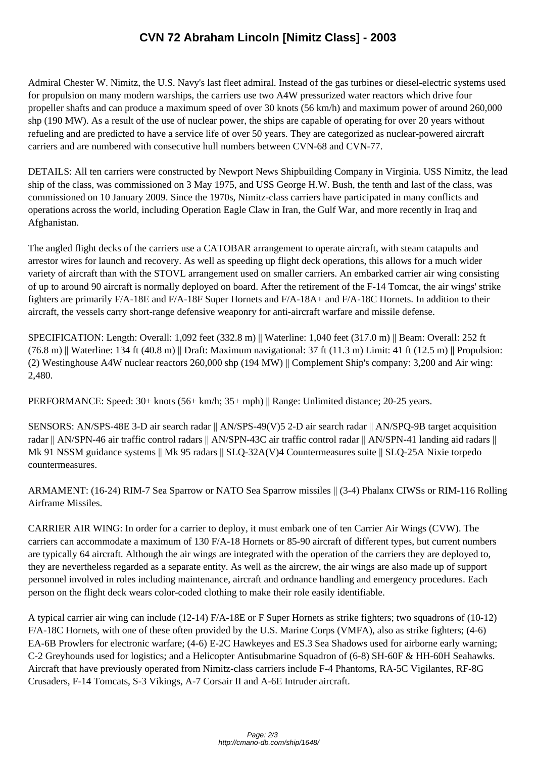Admiral Chester W. Nimitz[, the U.S. Navy's last fleet admiral. Instead of the gas turbines or d](http://cmano-db.com/ship/1648/)iesel-electric systems used for propulsion on many modern warships, the carriers use two A4W pressurized water reactors which drive four propeller shafts and can produce a maximum speed of over 30 knots (56 km/h) and maximum power of around 260,000 shp (190 MW). As a result of the use of nuclear power, the ships are capable of operating for over 20 years without refueling and are predicted to have a service life of over 50 years. They are categorized as nuclear-powered aircraft carriers and are numbered with consecutive hull numbers between CVN-68 and CVN-77.

DETAILS: All ten carriers were constructed by Newport News Shipbuilding Company in Virginia. USS Nimitz, the lead ship of the class, was commissioned on 3 May 1975, and USS George H.W. Bush, the tenth and last of the class, was commissioned on 10 January 2009. Since the 1970s, Nimitz-class carriers have participated in many conflicts and operations across the world, including Operation Eagle Claw in Iran, the Gulf War, and more recently in Iraq and Afghanistan.

The angled flight decks of the carriers use a CATOBAR arrangement to operate aircraft, with steam catapults and arrestor wires for launch and recovery. As well as speeding up flight deck operations, this allows for a much wider variety of aircraft than with the STOVL arrangement used on smaller carriers. An embarked carrier air wing consisting of up to around 90 aircraft is normally deployed on board. After the retirement of the F-14 Tomcat, the air wings' strike fighters are primarily F/A-18E and F/A-18F Super Hornets and F/A-18A+ and F/A-18C Hornets. In addition to their aircraft, the vessels carry short-range defensive weaponry for anti-aircraft warfare and missile defense.

SPECIFICATION: Length: Overall: 1,092 feet (332.8 m) || Waterline: 1,040 feet (317.0 m) || Beam: Overall: 252 ft  $(76.8 \text{ m})$  || Waterline: 134 ft (40.8 m) || Draft: Maximum navigational: 37 ft (11.3 m) Limit: 41 ft (12.5 m) || Propulsion: (2) Westinghouse A4W nuclear reactors 260,000 shp (194 MW) || Complement Ship's company: 3,200 and Air wing: 2,480.

PERFORMANCE: Speed: 30+ knots (56+ km/h; 35+ mph) || Range: Unlimited distance; 20-25 years.

SENSORS: AN/SPS-48E 3-D air search radar || AN/SPS-49(V)5 2-D air search radar || AN/SPQ-9B target acquisition radar || AN/SPN-46 air traffic control radars || AN/SPN-43C air traffic control radar || AN/SPN-41 landing aid radars || Mk 91 NSSM guidance systems || Mk 95 radars || SLQ-32A(V)4 Countermeasures suite || SLQ-25A Nixie torpedo countermeasures.

ARMAMENT: (16-24) RIM-7 Sea Sparrow or NATO Sea Sparrow missiles || (3-4) Phalanx CIWSs or RIM-116 Rolling Airframe Missiles.

CARRIER AIR WING: In order for a carrier to deploy, it must embark one of ten Carrier Air Wings (CVW). The carriers can accommodate a maximum of 130 F/A-18 Hornets or 85-90 aircraft of different types, but current numbers are typically 64 aircraft. Although the air wings are integrated with the operation of the carriers they are deployed to, they are nevertheless regarded as a separate entity. As well as the aircrew, the air wings are also made up of support personnel involved in roles including maintenance, aircraft and ordnance handling and emergency procedures. Each person on the flight deck wears color-coded clothing to make their role easily identifiable.

A typical carrier air wing can include (12-14) F/A-18E or F Super Hornets as strike fighters; two squadrons of (10-12) F/A-18C Hornets, with one of these often provided by the U.S. Marine Corps (VMFA), also as strike fighters; (4-6) EA-6B Prowlers for electronic warfare; (4-6) E-2C Hawkeyes and ES.3 Sea Shadows used for airborne early warning; C-2 Greyhounds used for logistics; and a Helicopter Antisubmarine Squadron of (6-8) SH-60F & HH-60H Seahawks. Aircraft that have previously operated from Nimitz-class carriers include F-4 Phantoms, RA-5C Vigilantes, RF-8G Crusaders, F-14 Tomcats, S-3 Vikings, A-7 Corsair II and A-6E Intruder aircraft.